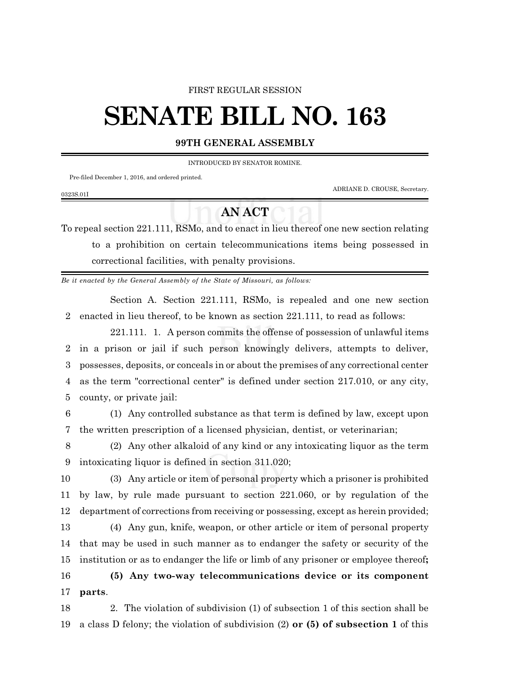## FIRST REGULAR SESSION

## **SENATE BILL NO. 163**

## **99TH GENERAL ASSEMBLY**

INTRODUCED BY SENATOR ROMINE.

Pre-filed December 1, 2016, and ordered printed.

0323S.01I

ADRIANE D. CROUSE, Secretary.

## **AN ACT**

To repeal section 221.111, RSMo, and to enact in lieu thereof one new section relating to a prohibition on certain telecommunications items being possessed in correctional facilities, with penalty provisions.

*Be it enacted by the General Assembly of the State of Missouri, as follows:*

Section A. Section 221.111, RSMo, is repealed and one new section 2 enacted in lieu thereof, to be known as section 221.111, to read as follows:

221.111. 1. A person commits the offense of possession of unlawful items in a prison or jail if such person knowingly delivers, attempts to deliver, possesses, deposits, or conceals in or about the premises of any correctional center as the term "correctional center" is defined under section 217.010, or any city, county, or private jail:

6 (1) Any controlled substance as that term is defined by law, except upon 7 the written prescription of a licensed physician, dentist, or veterinarian;

8 (2) Any other alkaloid of any kind or any intoxicating liquor as the term 9 intoxicating liquor is defined in section 311.020;

10 (3) Any article or item of personal property which a prisoner is prohibited 11 by law, by rule made pursuant to section 221.060, or by regulation of the 12 department of corrections from receiving or possessing, except as herein provided;

 (4) Any gun, knife, weapon, or other article or item of personal property that may be used in such manner as to endanger the safety or security of the institution or as to endanger the life or limb of any prisoner or employee thereof**; (5) Any two-way telecommunications device or its component** 17 **parts**.

18 2. The violation of subdivision (1) of subsection 1 of this section shall be 19 a class D felony; the violation of subdivision (2) **or (5) of subsection 1** of this